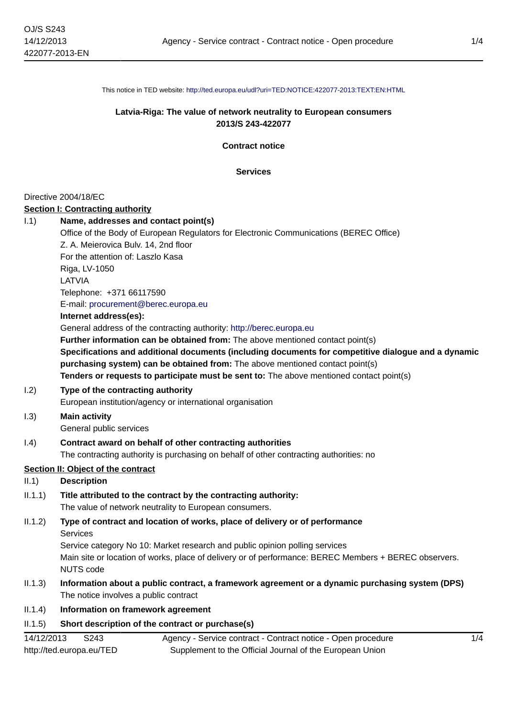This notice in TED website: <http://ted.europa.eu/udl?uri=TED:NOTICE:422077-2013:TEXT:EN:HTML>

## **Latvia-Riga: The value of network neutrality to European consumers 2013/S 243-422077**

**Contract notice**

**Services**

#### Directive 2004/18/EC

#### **Section I: Contracting authority**

| 1.1) | Name, addresses and contact point(s)                                                                |
|------|-----------------------------------------------------------------------------------------------------|
|      | Office of the Body of European Regulators for Electronic Communications (BEREC Office)              |
|      | Z. A. Meierovica Bulv. 14, 2nd floor                                                                |
|      | For the attention of: Laszlo Kasa                                                                   |
|      | Riga, LV-1050                                                                                       |
|      | LATVIA                                                                                              |
|      | Telephone: +371 66117590                                                                            |
|      | E-mail: procurement@berec.europa.eu                                                                 |
|      | Internet address(es):                                                                               |
|      | General address of the contracting authority: http://berec.europa.eu                                |
|      | <b>Further information can be obtained from:</b> The above mentioned contact point(s)               |
|      | Specifications and additional documents (including documents for competitive dialogue and a dynamic |
|      | purchasing system) can be obtained from: The above mentioned contact point(s)                       |
|      | Tenders or requests to participate must be sent to: The above mentioned contact point(s)            |
| 1.2) | Type of the contracting authority                                                                   |
|      | European institution/eqeans war international erganization                                          |

European institution/agency or international organisation

# I.3) **Main activity**

General public services

### I.4) **Contract award on behalf of other contracting authorities**

The contracting authority is purchasing on behalf of other contracting authorities: no

#### **Section II: Object of the contract**

## II.1) **Description**

- II.1.1) **Title attributed to the contract by the contracting authority:** The value of network neutrality to European consumers.
- II.1.2) **Type of contract and location of works, place of delivery or of performance Services** Service category No 10: Market research and public opinion polling services

Main site or location of works, place of delivery or of performance: BEREC Members + BEREC observers. NUTS code

II.1.3) **Information about a public contract, a framework agreement or a dynamic purchasing system (DPS)** The notice involves a public contract

# II.1.4) **Information on framework agreement**

# II.1.5) **Short description of the contract or purchase(s)**

| 14/12/2013               | S <sub>243</sub> | Agency - Service contract - Contract notice - Open procedure |
|--------------------------|------------------|--------------------------------------------------------------|
| http://ted.europa.eu/TED |                  | Supplement to the Official Journal of the European Union     |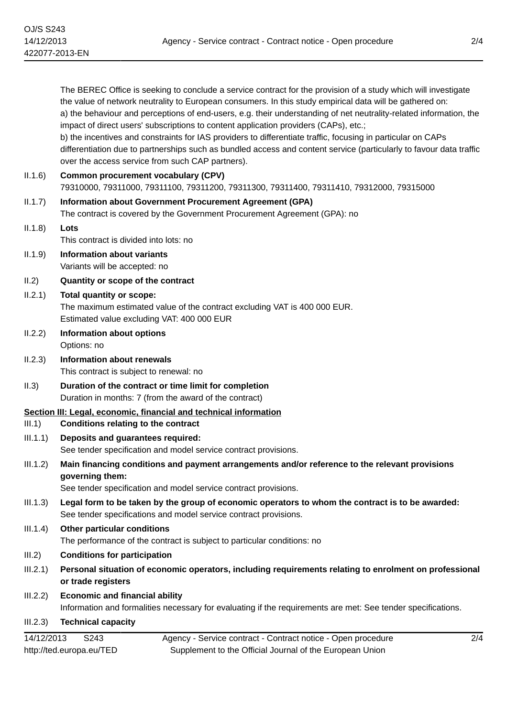The BEREC Office is seeking to conclude a service contract for the provision of a study which will investigate the value of network neutrality to European consumers. In this study empirical data will be gathered on: a) the behaviour and perceptions of end-users, e.g. their understanding of net neutrality-related information, the impact of direct users' subscriptions to content application providers (CAPs), etc.; b) the incentives and constraints for IAS providers to differentiate traffic, focusing in particular on CAPs differentiation due to partnerships such as bundled access and content service (particularly to favour data traffic over the access service from such CAP partners).

|          | over the access service from such CAP partners).                                                                                                                                     |
|----------|--------------------------------------------------------------------------------------------------------------------------------------------------------------------------------------|
| II.1.6)  | <b>Common procurement vocabulary (CPV)</b><br>79310000, 79311000, 79311100, 79311200, 79311300, 79311400, 79311410, 79312000, 79315000                                               |
| II.1.7)  | <b>Information about Government Procurement Agreement (GPA)</b><br>The contract is covered by the Government Procurement Agreement (GPA): no                                         |
| II.1.8)  | Lots<br>This contract is divided into lots: no                                                                                                                                       |
| II.1.9)  | <b>Information about variants</b><br>Variants will be accepted: no                                                                                                                   |
| II.2)    | Quantity or scope of the contract                                                                                                                                                    |
| II.2.1)  | Total quantity or scope:<br>The maximum estimated value of the contract excluding VAT is 400 000 EUR.<br>Estimated value excluding VAT: 400 000 EUR                                  |
| II.2.2)  | <b>Information about options</b><br>Options: no                                                                                                                                      |
| II.2.3)  | <b>Information about renewals</b><br>This contract is subject to renewal: no                                                                                                         |
| II.3)    | Duration of the contract or time limit for completion<br>Duration in months: 7 (from the award of the contract)                                                                      |
|          | Section III: Legal, economic, financial and technical information                                                                                                                    |
| III.1)   | <b>Conditions relating to the contract</b>                                                                                                                                           |
| III.1.1) | Deposits and guarantees required:<br>See tender specification and model service contract provisions.                                                                                 |
| III.1.2) | Main financing conditions and payment arrangements and/or reference to the relevant provisions<br>governing them:<br>See tender specification and model service contract provisions. |
| III.1.3) | Legal form to be taken by the group of economic operators to whom the contract is to be awarded:<br>See tender specifications and model service contract provisions.                 |
| III.1.4) | <b>Other particular conditions</b><br>The performance of the contract is subject to particular conditions: no                                                                        |
| III.2)   | <b>Conditions for participation</b>                                                                                                                                                  |
| III.2.1) | Personal situation of economic operators, including requirements relating to enrolment on professional<br>or trade registers                                                         |
| III.2.2) | <b>Economic and financial ability</b>                                                                                                                                                |
|          |                                                                                                                                                                                      |

Information and formalities necessary for evaluating if the requirements are met: See tender specifications.

#### III.2.3) **Technical capacity**

14/12/2013 S243 http://ted.europa.eu/TED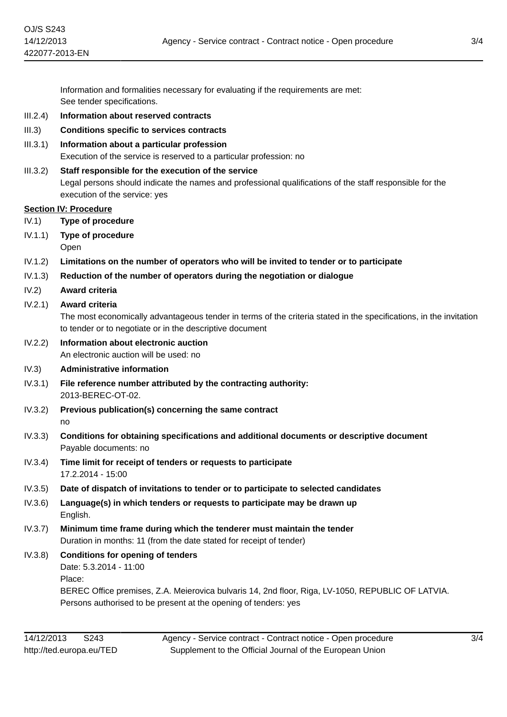Information and formalities necessary for evaluating if the requirements are met: See tender specifications.

- III.2.4) **Information about reserved contracts**
- III.3) **Conditions specific to services contracts**
- III.3.1) **Information about a particular profession**

Execution of the service is reserved to a particular profession: no

### III.3.2) **Staff responsible for the execution of the service**

Legal persons should indicate the names and professional qualifications of the staff responsible for the execution of the service: yes

#### **Section IV: Procedure**

- IV.1) **Type of procedure**
- IV.1.1) **Type of procedure**

Open

- IV.1.2) **Limitations on the number of operators who will be invited to tender or to participate**
- IV.1.3) **Reduction of the number of operators during the negotiation or dialogue**
- IV.2) **Award criteria**

### IV.2.1) **Award criteria**

The most economically advantageous tender in terms of the criteria stated in the specifications, in the invitation to tender or to negotiate or in the descriptive document

#### IV.2.2) **Information about electronic auction** An electronic auction will be used: no

#### IV.3) **Administrative information**

- IV.3.1) **File reference number attributed by the contracting authority:** 2013-BEREC-OT-02.
- IV.3.2) **Previous publication(s) concerning the same contract** no
- IV.3.3) **Conditions for obtaining specifications and additional documents or descriptive document** Payable documents: no
- IV.3.4) **Time limit for receipt of tenders or requests to participate** 17.2.2014 - 15:00
- IV.3.5) **Date of dispatch of invitations to tender or to participate to selected candidates**
- IV.3.6) **Language(s) in which tenders or requests to participate may be drawn up** English.
- IV.3.7) **Minimum time frame during which the tenderer must maintain the tender** Duration in months: 11 (from the date stated for receipt of tender)

# IV.3.8) **Conditions for opening of tenders**

Date: 5.3.2014 - 11:00

Place:

BEREC Office premises, Z.A. Meierovica bulvaris 14, 2nd floor, Riga, LV-1050, REPUBLIC OF LATVIA. Persons authorised to be present at the opening of tenders: yes